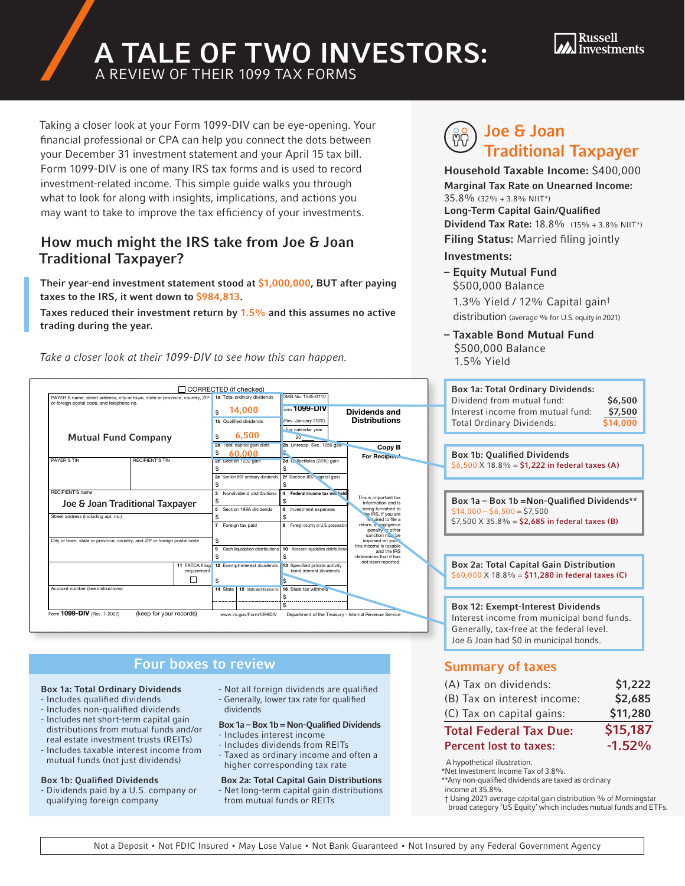# A TALE OF TWO INVESTORS:



A REVIEW OF THEIR 1099 TAX FORMS

Taking a closer look at your Form 1099-DIV can be eye-opening. Your financial professional or CPA can help you connect the dots between your December 31 investment statement and your April 15 tax bill. Form 1099-DIV is one of many IRS tax forms and is used to record investment-related income. This simple guide walks you through what to look for along with insights, implications, and actions you may want to take to improve the tax efficiency of your investments.

## How much might the IRS take from Joe & Joan Traditional Taxpayer?

Their year-end investment statement stood at \$1,000,000, BUT after paying taxes to the IRS, it went down to \$984,813.

Taxes reduced their investment return by 1.5% and this assumes no active trading during the year.

Take a closer look at their 1099-DIV to see how this can happen.

#### Joe & Joan **M** Traditional Taxpayer

Household Taxable Income: \$400,000 Marginal Tax Rate on Unearned Income: 35.8% (32% + 3.8% NIIT\*) Long-Term Capital Gain/Qualified Dividend Tax Rate: 18.8% (15% + 3.8% NIIT\*)

Filing Status: Married filing jointly Investments:

– Equity Mutual Fund \$500,000 Balance

1.3% Yield / 12% Capital gain† distribution (average % for U.S. equity in 2021)

– Taxable Bond Mutual Fund \$500,000 Balance 1.5% Yield



## **1099-Boxes to review**

#### Box 1a: Total Ordinary Dividends

- Includes qualified dividends
- Includes non-qualified dividends - Includes net short-term capital gain distributions from mutual funds and/or
- real estate investment trusts (REITs) - Includes taxable interest income from mutual funds (not just dividends)

#### Box 1b: Qualified Dividends

- Dividends paid by a U.S. company or qualifying foreign company
- Not all foreign dividends are qualified - Generally, lower tax rate for qualified dividends

#### Box 1a – Box 1b = Non-Qualified Dividends

- Includes interest income
- Includes dividends from REITs - Taxed as ordinary income and often a higher corresponding tax rate

 Box 2a: Total Capital Gain Distributions - Net long-term capital gain distributions from mutual funds or REITs

## Summary of taxes

| (B) Tax on interest income:   | \$2,685  |
|-------------------------------|----------|
| (C) Tax on capital gains:     | \$11,280 |
| <b>Total Federal Tax Due:</b> | \$15,187 |
| <b>Percent lost to taxes:</b> | $-1.52%$ |

A hypothetical illustration.

\*Net Investment Income Tax of 3.8%. \*\*Any non-qualified dividends are taxed as ordinary

income at 35.8%.

† Using 2021 average capital gain distribution % of Morningstar broad category 'US Equity' which includes mutual funds and ETFs.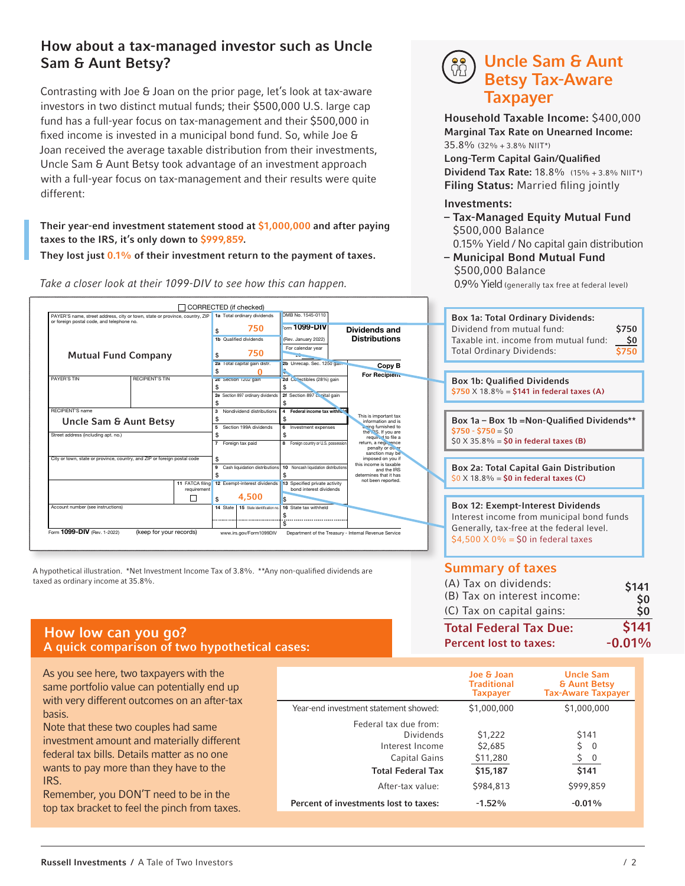## How about a tax-managed investor such as Uncle Sam & Aunt Betsy?

Contrasting with Joe & Joan on the prior page, let's look at tax-aware investors in two distinct mutual funds; their \$500,000 U.S. large cap fund has a full-year focus on tax-management and their \$500,000 in fixed income is invested in a municipal bond fund. So, while Joe & Joan received the average taxable distribution from their investments, Uncle Sam & Aunt Betsy took advantage of an investment approach with a full-year focus on tax-management and their results were quite different:

Their year-end investment statement stood at \$1,000,000 and after paying taxes to the IRS, it's only down to \$999,859.

They lost just  $0.1\%$  of their investment return to the payment of taxes.

Take a closer look at their 1099-DIV to see how this can happen.

# Uncle Sam & Aunt Betsy Tax-Aware Taxpayer

Household Taxable Income: \$400,000 Marginal Tax Rate on Unearned Income:  $35.8\%$  (32% + 3.8% NIIT\*)

Long-Term Capital Gain/Qualified **Dividend Tax Rate: 18.8%** (15% + 3.8% NIIT\*) Filing Status: Married filing jointly

#### Investments:

- Tax-Managed Equity Mutual Fund \$500,000 Balance 0.15% Yield / No capital gain distribution
- Municipal Bond Mutual Fund \$500,000 Balance 0.9% Yield (generally tax free at federal level)

CORRECTED (if checked) MB No. 1545-0110  $1a$  To Box 1a: Total Ordinary Dividends: PAYER'S name, street address, city or town, state or province, country, ZIP or foreign postal code, and telephone no.  $_\mathrm{m}$  1099-DIV 750 Dividends and Dividend from mutual fund: \$750 \$ (Rev. January 2022) **Distributions** Taxable int. income from mutual fund: \$0 alified dividends For calendar year Total Ordinary Dividends: \$750 750 Mutual Fund Company \$ 20 2a Total capital gain dist 2b Unrecap. Sec. 1250 gain Copy B \$  $\Omega$ \$ **For Recip** PAYER'S TIN RECIPIENT'S TIN 2c Section 1202 gain 2d Collectibles (28%) gain Box 1b: Qualified Dividends \$ \$  $$750 \times 18.8\% = $141$  in federal taxes (A) 2e Section 897 ordinary di Section 897 capital gain \$ \$ RECIPIENT'S name 3 Nondividend dis 4 Federal income tax withheld This is important tax<br>
information and is<br>
being furnished to<br>
the IRS. If you are<br>
required to file a<br>
required to file a<br>
return, a negligence<br>
penalty or other<br>
imposed on you if<br>
this income is taxable<br>
this income is Box 1a – Box 1b =Non-Qualified Dividends\*\* Uncle Sam & Aunt Betsy \$ \$ 5 Section 199A divide 6 Investment expenses  $$750 - $750 = $0$ Street address (including apt. no.) \$ \$  $$0 \times 35.8\% = $0 \text{ in federal taxes (B)}$ 7 Foreign tax paid Foreign country or U.S. pos City or town, state or province, country, and ZIP or foreign postal code \$ Box 2a: Total Capital Gain Distribution Cash liquidation di 10 Noncash liquidation distributions and the IRS determines that it has \$ \$  $$0 \times 18.8\% = $0 \text{ in federal taxes (C)}$ not be 11 FATCA fil  $12 E$ 13 Specified private activity bond interest dividends requirement 4,500  $\Box$ \$ \$ Box 12: Exempt-Interest Dividends 14 State 115 State identification no. 16 State Account number (see instructions) \$ Interest income from municipal bond funds \$ Generally, tax-free at the federal level. Form 1099-DIV (Rev. 1-2022) (keep for your records) www.irs.gov/Form1099DIV Department of the Treasury - Internal Revenue Service  $$4,500 \times 0\% = $0$  in federal taxes

A hypothetical illustration. \*Net Investment Income Tax of 3.8%. \*\*Any non-qualified dividends are taxed as ordinary income at 35.8%.

# How low can you go?<br>A quick comparison of two hypothetical cases: A series of two hypothetical cases:

As you see here, two taxpayers with the same portfolio value can potentially end up with very different outcomes on an after-tax basis.

Note that these two couples had same investment amount and materially different federal tax bills. Details matter as no one wants to pay more than they have to the IRS.

Remember, you DON'T need to be in the top tax bracket to feel the pinch from taxes.

## Summary of taxes

| \$141                |
|----------------------|
| \$0                  |
| $\dot{\mathsf{S}}$ 0 |
| \$141                |
| $-0.01%$             |
|                      |

|                                                                                                                        | Joe & Joan<br><b>Traditional</b><br><b>Taxpayer</b>     | <b>Uncle Sam</b><br><b>&amp; Aunt Betsy</b><br><b>Tax-Aware Taxpayer</b> |
|------------------------------------------------------------------------------------------------------------------------|---------------------------------------------------------|--------------------------------------------------------------------------|
| Year-end investment statement showed:                                                                                  | \$1,000,000                                             | \$1,000,000                                                              |
| Federal tax due from:<br>Dividends<br>Interest Income<br>Capital Gains<br><b>Total Federal Tax</b><br>After-tax value: | \$1,222<br>\$2,685<br>\$11,280<br>\$15,187<br>\$984,813 | <b>S141</b><br>\$<br>$\Omega$<br>0<br>\$141<br>\$999,859                 |
| Percent of investments lost to taxes:                                                                                  | $-1.52%$                                                | $-0.01%$                                                                 |

Russell Investments / A Tale of Two Investors / 2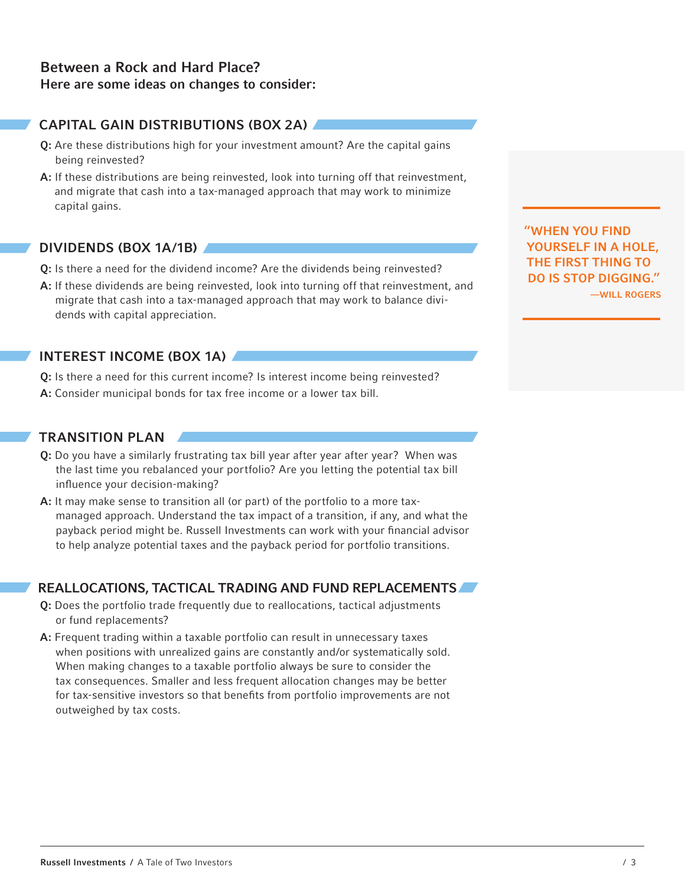## CAPITAL GAIN DISTRIBUTIONS (BOX 2A)

- Q: Are these distributions high for your investment amount? Are the capital gains being reinvested?
- A: If these distributions are being reinvested, look into turning off that reinvestment, and migrate that cash into a tax-managed approach that may work to minimize capital gains.

#### DIVIDENDS (BOX 1A/1B)

- Q: Is there a need for the dividend income? Are the dividends being reinvested?
- A: If these dividends are being reinvested, look into turning off that reinvestment, and migrate that cash into a tax-managed approach that may work to balance dividends with capital appreciation.

### INTEREST INCOME (BOX 1A)

Q: Is there a need for this current income? Is interest income being reinvested? A: Consider municipal bonds for tax free income or a lower tax bill.

## TRANSITION PLAN

- Q: Do you have a similarly frustrating tax bill year after year after year? When was the last time you rebalanced your portfolio? Are you letting the potential tax bill influence your decision-making?
- A: It may make sense to transition all (or part) of the portfolio to a more taxmanaged approach. Understand the tax impact of a transition, if any, and what the payback period might be. Russell Investments can work with your financial advisor to help analyze potential taxes and the payback period for portfolio transitions.

### REALLOCATIONS, TACTICAL TRADING AND FUND REPLACEMENTS

- Q: Does the portfolio trade frequently due to reallocations, tactical adjustments or fund replacements?
- A: Frequent trading within a taxable portfolio can result in unnecessary taxes when positions with unrealized gains are constantly and/or systematically sold. When making changes to a taxable portfolio always be sure to consider the tax consequences. Smaller and less frequent allocation changes may be better for tax-sensitive investors so that benefits from portfolio improvements are not outweighed by tax costs.

"WHEN YOU FIND YOURSELF IN A HOLE, THE FIRST THING TO DO IS STOP DIGGING." —WILL ROGERS